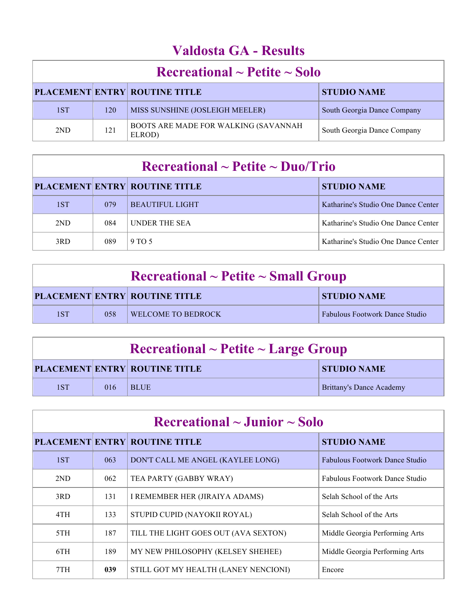## **Valdosta GA - Results**

| $\rm Recreational \sim Peitite \sim Solo$ |     |                                                        |                             |
|-------------------------------------------|-----|--------------------------------------------------------|-----------------------------|
|                                           |     | <b>PLACEMENT ENTRY ROUTINE TITLE</b>                   | <b>STUDIO NAME</b>          |
| 1ST                                       | 120 | MISS SUNSHINE (JOSLEIGH MEELER)                        | South Georgia Dance Company |
| 2ND                                       | 121 | <b>BOOTS ARE MADE FOR WALKING (SAVANNAH)</b><br>ELROD) | South Georgia Dance Company |

## **Recreational ~ Petite ~ Duo/Trio**

|     |     | <b>PLACEMENT ENTRY ROUTINE TITLE</b> | <b>STUDIO NAME</b>                  |
|-----|-----|--------------------------------------|-------------------------------------|
| 1ST | 079 | <b>BEAUTIFUL LIGHT</b>               | Katharine's Studio One Dance Center |
| 2ND | 084 | <b>UNDER THE SEA</b>                 | Katharine's Studio One Dance Center |
| 3RD | 089 | 9 TO 5                               | Katharine's Studio One Dance Center |

| $\rm Recreational \sim Petite \sim Small~Group$ |     |                                      |                                       |
|-------------------------------------------------|-----|--------------------------------------|---------------------------------------|
|                                                 |     | <b>PLACEMENT ENTRY ROUTINE TITLE</b> | <b>STUDIO NAME</b>                    |
| 1ST                                             | 058 | <b>WELCOME TO BEDROCK</b>            | <b>Fabulous Footwork Dance Studio</b> |

| $\rm Recreational \sim Peitite \sim Large \,\, Group$ |     |                                      |                          |
|-------------------------------------------------------|-----|--------------------------------------|--------------------------|
|                                                       |     | <b>PLACEMENT ENTRY ROUTINE TITLE</b> | <b>STUDIO NAME</b>       |
| 1ST                                                   | 016 | <b>BLUE</b>                          | Brittany's Dance Academy |

| $\rm Recreational \sim Junior \sim Solo$ |     |                                      |                                       |
|------------------------------------------|-----|--------------------------------------|---------------------------------------|
|                                          |     | <b>PLACEMENT ENTRY ROUTINE TITLE</b> | <b>STUDIO NAME</b>                    |
| 1ST                                      | 063 | DON'T CALL ME ANGEL (KAYLEE LONG)    | <b>Fabulous Footwork Dance Studio</b> |
| 2 <sub>ND</sub>                          | 062 | TEA PARTY (GABBY WRAY)               | <b>Fabulous Footwork Dance Studio</b> |
| 3RD                                      | 131 | I REMEMBER HER (JIRAIYA ADAMS)       | Selah School of the Arts              |
| 4TH                                      | 133 | STUPID CUPID (NAYOKII ROYAL)         | Selah School of the Arts              |
| 5TH                                      | 187 | TILL THE LIGHT GOES OUT (AVA SEXTON) | Middle Georgia Performing Arts        |
| 6TH                                      | 189 | MY NEW PHILOSOPHY (KELSEY SHEHEE)    | Middle Georgia Performing Arts        |
| 7TH                                      | 039 | STILL GOT MY HEALTH (LANEY NENCIONI) | Encore                                |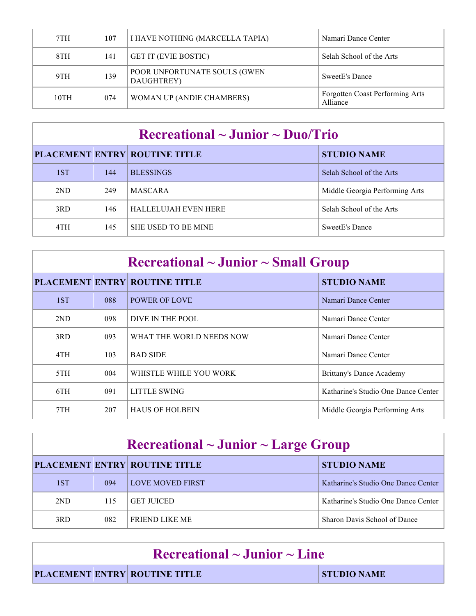| 7TH  | 107 | I HAVE NOTHING (MARCELLA TAPIA)            | Namari Dance Center                         |
|------|-----|--------------------------------------------|---------------------------------------------|
| 8TH  | 141 | <b>GET IT (EVIE BOSTIC)</b>                | Selah School of the Arts                    |
| 9TH  | 139 | POOR UNFORTUNATE SOULS (GWEN<br>DAUGHTREY) | SweetE's Dance                              |
| 10TH | 074 | <b>WOMAN UP (ANDIE CHAMBERS)</b>           | Forgotten Coast Performing Arts<br>Alliance |

#### **Recreational ~ Junior ~ Duo/Trio**

|     |     | <b>PLACEMENT ENTRY ROUTINE TITLE</b> | <b>STUDIO NAME</b>             |
|-----|-----|--------------------------------------|--------------------------------|
| 1ST | 144 | <b>BLESSINGS</b>                     | Selah School of the Arts       |
| 2ND | 249 | <b>MASCARA</b>                       | Middle Georgia Performing Arts |
| 3RD | 146 | <b>HALLELUJAH EVEN HERE</b>          | Selah School of the Arts       |
| 4TH | 145 | <b>SHE USED TO BE MINE</b>           | SweetE's Dance                 |

## **Recreational ~ Junior ~ Small Group**

|     |     | <b>PLACEMENT ENTRY ROUTINE TITLE</b> | <b>STUDIO NAME</b>                  |
|-----|-----|--------------------------------------|-------------------------------------|
| 1ST | 088 | <b>POWER OF LOVE</b>                 | Namari Dance Center                 |
| 2ND | 098 | DIVE IN THE POOL                     | Namari Dance Center                 |
| 3RD | 093 | WHAT THE WORLD NEEDS NOW             | Namari Dance Center                 |
| 4TH | 103 | <b>BAD SIDE</b>                      | Namari Dance Center                 |
| 5TH | 004 | WHISTLE WHILE YOU WORK               | Brittany's Dance Academy            |
| 6TH | 091 | LITTLE SWING                         | Katharine's Studio One Dance Center |
| 7TH | 207 | <b>HAUS OF HOLBEIN</b>               | Middle Georgia Performing Arts      |

| $\rm Recreational \sim Junior \sim Large\ Group$ |     |                                      |                                     |
|--------------------------------------------------|-----|--------------------------------------|-------------------------------------|
|                                                  |     | <b>PLACEMENT ENTRY ROUTINE TITLE</b> | <b>STUDIO NAME</b>                  |
| 1ST                                              | 094 | LOVE MOVED FIRST                     | Katharine's Studio One Dance Center |
| 2ND                                              | 115 | <b>GET JUICED</b>                    | Katharine's Studio One Dance Center |
| 3RD                                              | 082 | <b>FRIEND LIKE ME</b>                | Sharon Davis School of Dance        |

| $\Gamma$ Recreational $\sim$ Junior $\sim$ Line |                                      |             |
|-------------------------------------------------|--------------------------------------|-------------|
|                                                 | <b>PLACEMENT ENTRY ROUTINE TITLE</b> | STUDIO NAME |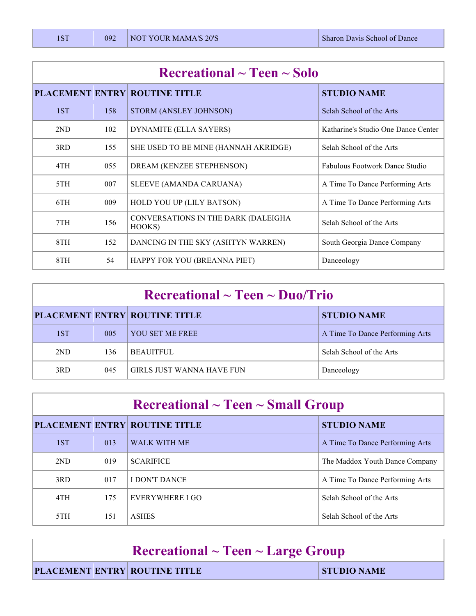| $\rm Recreational \sim Teen \sim Solo$ |     |                                               |                                     |
|----------------------------------------|-----|-----------------------------------------------|-------------------------------------|
|                                        |     | <b>PLACEMENT ENTRY ROUTINE TITLE</b>          | <b>STUDIO NAME</b>                  |
| 1ST                                    | 158 | STORM (ANSLEY JOHNSON)                        | Selah School of the Arts            |
| 2ND                                    | 102 | DYNAMITE (ELLA SAYERS)                        | Katharine's Studio One Dance Center |
| 3RD                                    | 155 | SHE USED TO BE MINE (HANNAH AKRIDGE)          | Selah School of the Arts            |
| 4TH                                    | 055 | DREAM (KENZEE STEPHENSON)                     | Fabulous Footwork Dance Studio      |
| 5TH                                    | 007 | SLEEVE (AMANDA CARUANA)                       | A Time To Dance Performing Arts     |
| 6TH                                    | 009 | HOLD YOU UP (LILY BATSON)                     | A Time To Dance Performing Arts     |
| 7TH                                    | 156 | CONVERSATIONS IN THE DARK (DALEIGHA<br>HOOKS) | Selah School of the Arts            |
| 8TH                                    | 152 | DANCING IN THE SKY (ASHTYN WARREN)            | South Georgia Dance Company         |
| 8TH                                    | 54  | HAPPY FOR YOU (BREANNA PIET)                  | Danceology                          |

| $\rm Recreational \sim Teen \sim Duo/Trio$ |     |                                      |                                 |
|--------------------------------------------|-----|--------------------------------------|---------------------------------|
|                                            |     | <b>PLACEMENT ENTRY ROUTINE TITLE</b> | <b>STUDIO NAME</b>              |
| 1ST                                        | 005 | YOU SET ME FREE                      | A Time To Dance Performing Arts |
| 2ND                                        | 136 | <b>BEAUITFUL</b>                     | Selah School of the Arts        |
| 3RD                                        | 045 | GIRLS JUST WANNA HAVE FUN            | Danceology                      |

| $\rm Recreational \sim Teen \sim Small\,\, Group$ |     |                                      |                                 |  |
|---------------------------------------------------|-----|--------------------------------------|---------------------------------|--|
|                                                   |     | <b>PLACEMENT ENTRY ROUTINE TITLE</b> | <b>STUDIO NAME</b>              |  |
| 1ST                                               | 013 | <b>WALK WITH ME</b>                  | A Time To Dance Performing Arts |  |
| 2ND                                               | 019 | <b>SCARIFICE</b>                     | The Maddox Youth Dance Company  |  |
| 3RD                                               | 017 | I DON'T DANCE                        | A Time To Dance Performing Arts |  |
| 4TH                                               | 175 | EVERYWHERE I GO                      | Selah School of the Arts        |  |
| 5TH                                               | 151 | <b>ASHES</b>                         | Selah School of the Arts        |  |

| $\Gamma$ Recreational ~ Teen ~ Large Group |  |                                      |                    |
|--------------------------------------------|--|--------------------------------------|--------------------|
|                                            |  | <b>PLACEMENT ENTRY ROUTINE TITLE</b> | <b>STUDIO NAME</b> |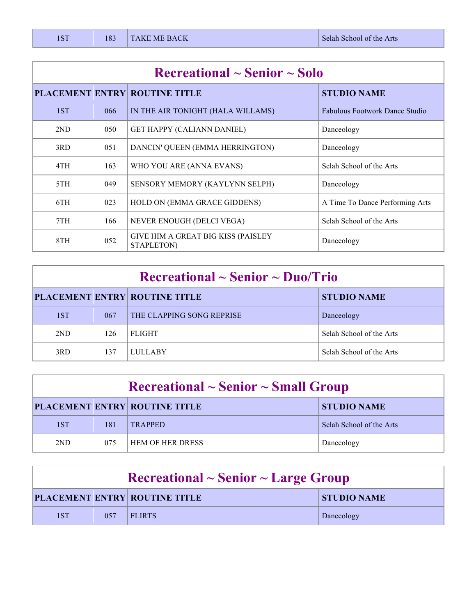| $\rm Recreational \sim Senior \sim Solo$ |     |                                                  |                                       |  |
|------------------------------------------|-----|--------------------------------------------------|---------------------------------------|--|
|                                          |     | <b>PLACEMENT ENTRY ROUTINE TITLE</b>             | <b>STUDIO NAME</b>                    |  |
| 1ST                                      | 066 | IN THE AIR TONIGHT (HALA WILLAMS)                | <b>Fabulous Footwork Dance Studio</b> |  |
| 2ND                                      | 050 | <b>GET HAPPY (CALIANN DANIEL)</b>                | Danceology                            |  |
| 3RD                                      | 051 | DANCIN' QUEEN (EMMA HERRINGTON)                  | Danceology                            |  |
| 4TH                                      | 163 | WHO YOU ARE (ANNA EVANS)                         | Selah School of the Arts              |  |
| 5TH                                      | 049 | <b>SENSORY MEMORY (KAYLYNN SELPH)</b>            | Danceology                            |  |
| 6TH                                      | 023 | HOLD ON (EMMA GRACE GIDDENS)                     | A Time To Dance Performing Arts       |  |
| 7TH                                      | 166 | NEVER ENOUGH (DELCI VEGA)                        | Selah School of the Arts              |  |
| 8TH                                      | 052 | GIVE HIM A GREAT BIG KISS (PAISLEY<br>STAPLETON) | Danceology                            |  |

| $\rm Recreational \sim Senior \sim Duo/Trio$ |     |                                      |                          |
|----------------------------------------------|-----|--------------------------------------|--------------------------|
|                                              |     | <b>PLACEMENT ENTRY ROUTINE TITLE</b> | <b>STUDIO NAME</b>       |
| 1ST                                          | 067 | THE CLAPPING SONG REPRISE            | Danceology               |
| 2ND                                          | 126 | <b>FLIGHT</b>                        | Selah School of the Arts |
| 3RD                                          | 137 | <b>LULLABY</b>                       | Selah School of the Arts |

| $\rm Recreational \sim Senior \sim Small\,\, Group$ |     |                                      |                          |
|-----------------------------------------------------|-----|--------------------------------------|--------------------------|
|                                                     |     | <b>PLACEMENT ENTRY ROUTINE TITLE</b> | <b>STUDIO NAME</b>       |
| 1ST                                                 | 181 | <b>TRAPPED</b>                       | Selah School of the Arts |
| 2ND                                                 | 075 | <b>HEM OF HER DRESS</b>              | Danceology               |

| $\rm Recreational \sim Senior \sim Large\ Group$ |      |                                      |                    |
|--------------------------------------------------|------|--------------------------------------|--------------------|
|                                                  |      | <b>PLACEMENT ENTRY ROUTINE TITLE</b> | <b>STUDIO NAME</b> |
| 1ST                                              | 0.57 | <b>FLIRTS</b>                        | Danceology         |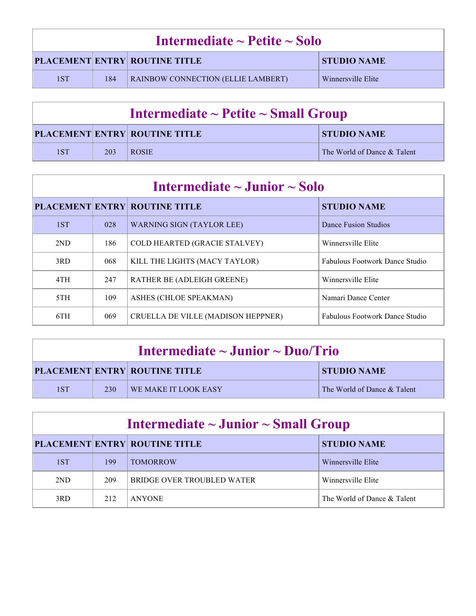| Intermediate $\sim$ Petite $\sim$ Solo |     |                                           |                    |  |
|----------------------------------------|-----|-------------------------------------------|--------------------|--|
|                                        |     | <b>PLACEMENT ENTRY ROUTINE TITLE</b>      | <b>STUDIO NAME</b> |  |
| 1ST                                    | 184 | <b>RAINBOW CONNECTION (ELLIE LAMBERT)</b> | Winnersville Elite |  |

| Intermediate $\sim$ Petite $\sim$ Small Group |     |                                      |                             |
|-----------------------------------------------|-----|--------------------------------------|-----------------------------|
|                                               |     | <b>PLACEMENT ENTRY ROUTINE TITLE</b> | <b>STUDIO NAME</b>          |
| 1ST                                           | 203 | <b>ROSIE</b>                         | The World of Dance & Talent |

| Intermediate $\sim$ Junior $\sim$ Solo |     |                                      |                                |
|----------------------------------------|-----|--------------------------------------|--------------------------------|
|                                        |     | PLACEMENT ENTRY ROUTINE TITLE        | <b>STUDIO NAME</b>             |
| 1ST                                    | 028 | <b>WARNING SIGN (TAYLOR LEE)</b>     | Dance Fusion Studios           |
| 2ND                                    | 186 | <b>COLD HEARTED (GRACIE STALVEY)</b> | Winnersville Elite             |
| 3RD                                    | 068 | KILL THE LIGHTS (MACY TAYLOR)        | Fabulous Footwork Dance Studio |
| 4TH                                    | 247 | <b>RATHER BE (ADLEIGH GREENE)</b>    | Winnersville Elite             |
| 5TH                                    | 109 | ASHES (CHLOE SPEAKMAN)               | Namari Dance Center            |
| 6TH                                    | 069 | CRUELLA DE VILLE (MADISON HEPPNER)   | Fabulous Footwork Dance Studio |

| Intermediate $\sim$ Junior $\sim$ Duo/Trio |     |                                      |                             |
|--------------------------------------------|-----|--------------------------------------|-----------------------------|
|                                            |     | <b>PLACEMENT ENTRY ROUTINE TITLE</b> | <b>STUDIO NAME</b>          |
| 1ST                                        | 230 | WE MAKE IT LOOK EASY                 | The World of Dance & Talent |

| Intermediate $\sim$ Junior $\sim$ Small Group |     |                                      |                             |
|-----------------------------------------------|-----|--------------------------------------|-----------------------------|
|                                               |     | <b>PLACEMENT ENTRY ROUTINE TITLE</b> | <b>STUDIO NAME</b>          |
| 1ST                                           | 199 | <b>TOMORROW</b>                      | Winnersville Elite          |
| 2ND                                           | 209 | BRIDGE OVER TROUBLED WATER           | Winnersville Elite          |
| 3RD                                           | 212 | <b>ANYONE</b>                        | The World of Dance & Talent |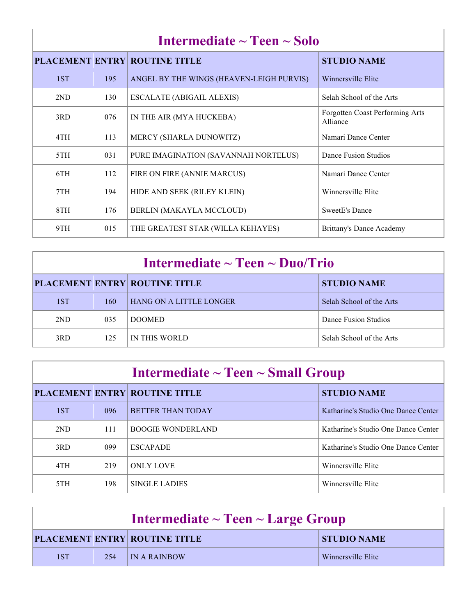| Intermediate $\sim$ Teen $\sim$ Solo |     |                                          |                                             |
|--------------------------------------|-----|------------------------------------------|---------------------------------------------|
|                                      |     | <b>PLACEMENT ENTRY ROUTINE TITLE</b>     | <b>STUDIO NAME</b>                          |
| 1ST                                  | 195 | ANGEL BY THE WINGS (HEAVEN-LEIGH PURVIS) | Winnersville Elite                          |
| 2ND                                  | 130 | <b>ESCALATE (ABIGAIL ALEXIS)</b>         | Selah School of the Arts                    |
| 3RD                                  | 076 | IN THE AIR (MYA HUCKEBA)                 | Forgotten Coast Performing Arts<br>Alliance |
| 4TH                                  | 113 | MERCY (SHARLA DUNOWITZ)                  | Namari Dance Center                         |
| 5TH                                  | 031 | PURE IMAGINATION (SAVANNAH NORTELUS)     | Dance Fusion Studios                        |
| 6TH                                  | 112 | FIRE ON FIRE (ANNIE MARCUS)              | Namari Dance Center                         |
| 7TH                                  | 194 | HIDE AND SEEK (RILEY KLEIN)              | Winnersville Elite                          |
| 8TH                                  | 176 | BERLIN (MAKAYLA MCCLOUD)                 | <b>SweetE's Dance</b>                       |
| 9TH                                  | 015 | THE GREATEST STAR (WILLA KEHAYES)        | <b>Brittany's Dance Academy</b>             |

## **Intermediate ~ Teen ~ Duo/Trio**

|     |     | <b>PLACEMENT ENTRY ROUTINE TITLE</b> | <b>STUDIO NAME</b>       |
|-----|-----|--------------------------------------|--------------------------|
| 1ST | 160 | <b>HANG ON A LITTLE LONGER</b>       | Selah School of the Arts |
| 2ND | 035 | <b>DOOMED</b>                        | Dance Fusion Studios     |
| 3RD | 125 | IN THIS WORLD                        | Selah School of the Arts |

| Intermediate $\sim$ Teen $\sim$ Small Group |     |                                      |                                     |
|---------------------------------------------|-----|--------------------------------------|-------------------------------------|
|                                             |     | <b>PLACEMENT ENTRY ROUTINE TITLE</b> | <b>STUDIO NAME</b>                  |
| 1ST                                         | 096 | <b>BETTER THAN TODAY</b>             | Katharine's Studio One Dance Center |
| 2ND                                         | 111 | <b>BOOGIE WONDERLAND</b>             | Katharine's Studio One Dance Center |
| 3RD                                         | 099 | <b>ESCAPADE</b>                      | Katharine's Studio One Dance Center |
| 4TH                                         | 219 | <b>ONLY LOVE</b>                     | Winnersville Elite                  |
| 5TH                                         | 198 | SINGLE LADIES                        | Winnersville Elite                  |

| Intermediate $\sim$ Teen $\sim$ Large Group |     |                                      |                    |
|---------------------------------------------|-----|--------------------------------------|--------------------|
|                                             |     | <b>PLACEMENT ENTRY ROUTINE TITLE</b> | <b>STUDIO NAME</b> |
| 1ST                                         | 254 | <b>IN A RAINBOW</b>                  | Winnersville Elite |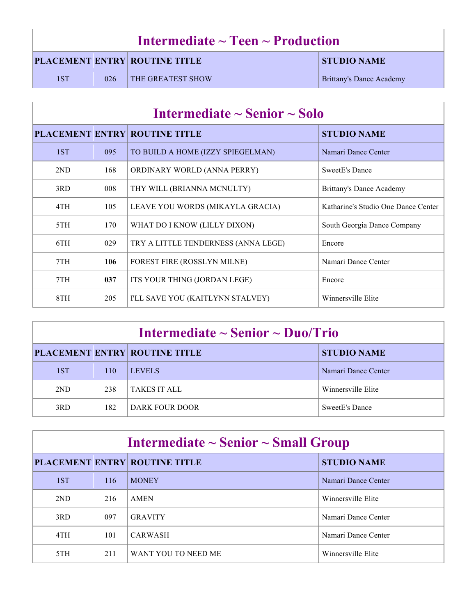| Intermediate $\sim$ Teen $\sim$ Production |     |                                      |                          |
|--------------------------------------------|-----|--------------------------------------|--------------------------|
|                                            |     | <b>PLACEMENT ENTRY ROUTINE TITLE</b> | <b>STUDIO NAME</b>       |
| 1ST                                        | 026 | <b>THE GREATEST SHOW</b>             | Brittany's Dance Academy |

| Intermediate $\sim$ Senior $\sim$ Solo |     |                                      |                                     |
|----------------------------------------|-----|--------------------------------------|-------------------------------------|
|                                        |     | <b>PLACEMENT ENTRY ROUTINE TITLE</b> | <b>STUDIO NAME</b>                  |
| 1ST                                    | 095 | TO BUILD A HOME (IZZY SPIEGELMAN)    | Namari Dance Center                 |
| 2ND                                    | 168 | ORDINARY WORLD (ANNA PERRY)          | SweetE's Dance                      |
| 3RD                                    | 008 | THY WILL (BRIANNA MCNULTY)           | Brittany's Dance Academy            |
| 4TH                                    | 105 | LEAVE YOU WORDS (MIKAYLA GRACIA)     | Katharine's Studio One Dance Center |
| 5TH                                    | 170 | WHAT DO I KNOW (LILLY DIXON)         | South Georgia Dance Company         |
| 6TH                                    | 029 | TRY A LITTLE TENDERNESS (ANNA LEGE)  | Encore                              |
| 7TH                                    | 106 | FOREST FIRE (ROSSLYN MILNE)          | Namari Dance Center                 |
| 7TH                                    | 037 | ITS YOUR THING (JORDAN LEGE)         | Encore                              |
| 8TH                                    | 205 | I'LL SAVE YOU (KAITLYNN STALVEY)     | Winnersville Elite                  |

| Intermediate $\sim$ Senior $\sim$ Duo/Trio |     |                                      |                     |
|--------------------------------------------|-----|--------------------------------------|---------------------|
|                                            |     | <b>PLACEMENT ENTRY ROUTINE TITLE</b> | <b>STUDIO NAME</b>  |
| 1ST                                        | 110 | <b>LEVELS</b>                        | Namari Dance Center |
| 2ND                                        | 238 | TAKES IT ALL                         | Winnersville Elite  |
| 3RD                                        | 182 | DARK FOUR DOOR                       | SweetE's Dance      |

| Intermediate $\sim$ Senior $\sim$ Small Group |     |                                      |                     |
|-----------------------------------------------|-----|--------------------------------------|---------------------|
|                                               |     | <b>PLACEMENT ENTRY ROUTINE TITLE</b> | <b>STUDIO NAME</b>  |
| 1ST                                           | 116 | <b>MONEY</b>                         | Namari Dance Center |
| 2ND                                           | 216 | <b>AMEN</b>                          | Winnersville Elite  |
| 3RD                                           | 097 | <b>GRAVITY</b>                       | Namari Dance Center |
| 4TH                                           | 101 | <b>CARWASH</b>                       | Namari Dance Center |
| 5TH                                           | 211 | WANT YOU TO NEED ME                  | Winnersville Elite  |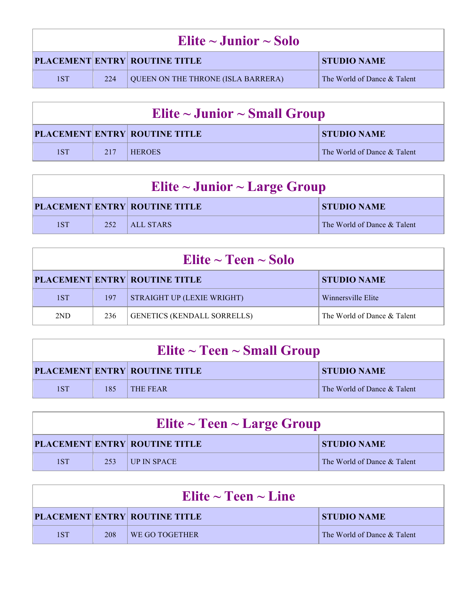| Elite $\sim$ Junior $\sim$ Solo |     |                                      |                             |
|---------------------------------|-----|--------------------------------------|-----------------------------|
|                                 |     | <b>PLACEMENT ENTRY ROUTINE TITLE</b> | <b>STUDIO NAME</b>          |
| 1ST                             | 224 | QUEEN ON THE THRONE (ISLA BARRERA)   | The World of Dance & Talent |

| Elite $\sim$ Junior $\sim$ Small Group |     |                                      |                             |
|----------------------------------------|-----|--------------------------------------|-----------------------------|
|                                        |     | <b>PLACEMENT ENTRY ROUTINE TITLE</b> | <b>STUDIO NAME</b>          |
| 1ST                                    | 217 | <b>HEROES</b>                        | The World of Dance & Talent |

| Elite $\sim$ Junior $\sim$ Large Group                     |     |                  |                             |
|------------------------------------------------------------|-----|------------------|-----------------------------|
| <b>PLACEMENT ENTRY ROUTINE TITLE</b><br><b>STUDIO NAME</b> |     |                  |                             |
| 1ST                                                        | 252 | <b>ALL STARS</b> | The World of Dance & Talent |

| Elite $\sim$ Teen $\sim$ Solo |     |                                      |                             |
|-------------------------------|-----|--------------------------------------|-----------------------------|
|                               |     | <b>PLACEMENT ENTRY ROUTINE TITLE</b> | <b>STUDIO NAME</b>          |
| 1ST                           | 197 | STRAIGHT UP (LEXIE WRIGHT)           | Winnersville Elite          |
| 2ND                           | 236 | <b>GENETICS (KENDALL SORRELLS)</b>   | The World of Dance & Talent |

| Elite $\sim$ Teen $\sim$ Small Group |     |                                      |                             |
|--------------------------------------|-----|--------------------------------------|-----------------------------|
|                                      |     | <b>PLACEMENT ENTRY ROUTINE TITLE</b> | <b>STUDIO NAME</b>          |
| 1ST                                  | 185 | THE FEAR                             | The World of Dance & Talent |

| Elite $\sim$ Teen $\sim$ Large Group |      |                                      |                             |
|--------------------------------------|------|--------------------------------------|-----------------------------|
|                                      |      | <b>PLACEMENT ENTRY ROUTINE TITLE</b> | <b>STUDIO NAME</b>          |
| 1ST                                  | 253' | <b>LUP IN SPACE</b>                  | The World of Dance & Talent |

| Elite $\sim$ Teen $\sim$ Line |     |                                      |                             |
|-------------------------------|-----|--------------------------------------|-----------------------------|
|                               |     | <b>PLACEMENT ENTRY ROUTINE TITLE</b> | <b>STUDIO NAME</b>          |
| 1ST                           | 208 | WE GO TOGETHER                       | The World of Dance & Talent |